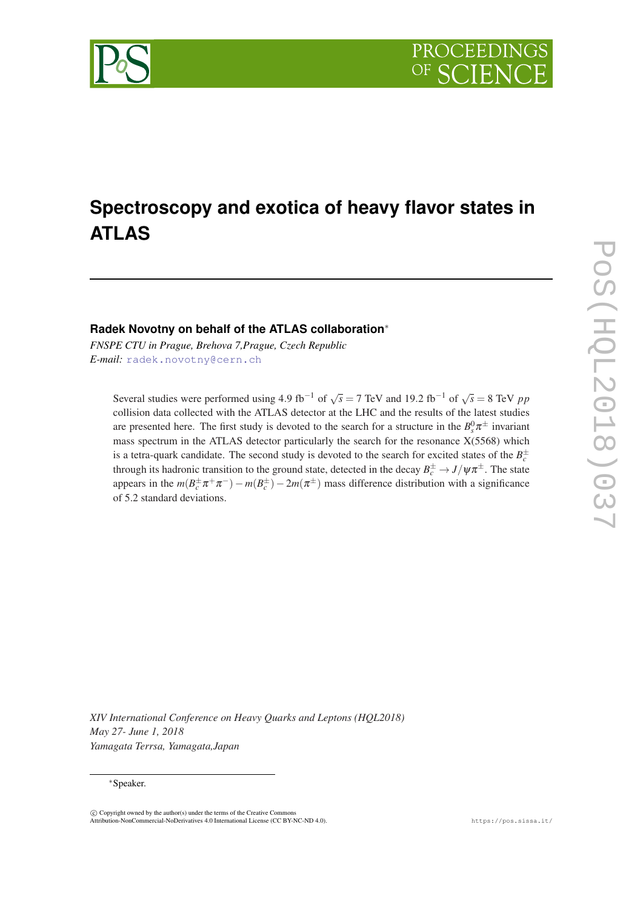

# **Spectroscopy and exotica of heavy flavor states in ATLAS**

### **Radek Novotny on behalf of the ATLAS collaboration**<sup>∗</sup>

*FNSPE CTU in Prague, Brehova 7,Prague, Czech Republic E-mail:* [radek.novotny@cern.ch](mailto:radek.novotny@cern.ch)

Several studies were performed using 4.9 fb<sup>-1</sup> of  $\sqrt{s} = 7$  TeV and 19.2 fb<sup>-1</sup> of  $\sqrt{s} = 8$  TeV *pp* collision data collected with the ATLAS detector at the LHC and the results of the latest studies are presented here. The first study is devoted to the search for a structure in the  $B_s^0 \pi^{\pm}$  invariant mass spectrum in the ATLAS detector particularly the search for the resonance  $X(5568)$  which is a tetra-quark candidate. The second study is devoted to the search for excited states of the  $B_c^{\pm}$ through its hadronic transition to the ground state, detected in the decay  $B_c^{\pm} \to J/\psi \pi^{\pm}$ . The state appears in the  $m(B_c^{\pm} \pi^+ \pi^-) - m(B_c^{\pm}) - 2m(\pi^{\pm})$  mass difference distribution with a significance of 5.2 standard deviations.

*XIV International Conference on Heavy Quarks and Leptons (HQL2018) May 27- June 1, 2018 Yamagata Terrsa, Yamagata,Japan*

### <sup>∗</sup>Speaker.

 $\overline{c}$  Copyright owned by the author(s) under the terms of the Creative Common Attribution-NonCommercial-NoDerivatives 4.0 International License (CC BY-NC-ND 4.0). https://pos.sissa.it/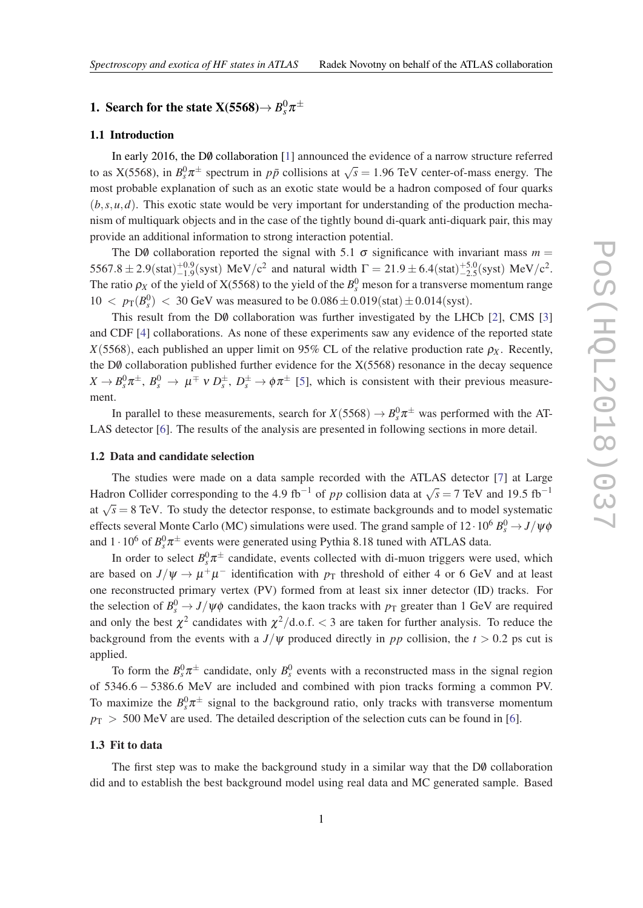## 1. Search for the state X(5568) $\rightarrow$   $B^0_s \pi^{\pm}$

### 1.1 Introduction

In early 20[1](#page-6-0)6, the  $D\emptyset$  collaboration [1] announced the evidence of a narrow structure referred to as  $X(5568)$ , in  $B_y^0 \pi^{\pm}$  spectrum in  $p\bar{p}$  collisions at  $\sqrt{s} = 1.96$  TeV center-of-mass energy. The most probable explanation of such as an exotic state would be a hadron composed of four quarks  $(b, s, u, d)$ . This exotic state would be very important for understanding of the production mechanism of multiquark objects and in the case of the tightly bound di-quark anti-diquark pair, this may provide an additional information to strong interaction potential.

The D0 collaboration reported the signal with 5.1  $\sigma$  significance with invariant mass  $m =$  $5567.8 \pm 2.9(\text{stat})_{-1.9}^{+0.9}(\text{syst})$  MeV/c<sup>2</sup> and natural width  $\Gamma = 21.9 \pm 6.4(\text{stat})_{-2.5}^{+5.0}(\text{syst})$  MeV/c<sup>2</sup>. The ratio  $\rho_X$  of the yield of X(5568) to the yield of the  $B_s^0$  meson for a transverse momentum range  $10 < p_T(B_s^0) < 30$  GeV was measured to be  $0.086 \pm 0.019$  (stat)  $\pm 0.014$  (syst).

This result from the DØ collaboration was further investigated by the LHCb [[2](#page-6-0)], CMS [[3](#page-6-0)] and CDF [\[4](#page-6-0)] collaborations. As none of these experiments saw any evidence of the reported state  $X(5568)$ , each published an upper limit on 95% CL of the relative production rate  $\rho_X$ . Recently, the D $\emptyset$  collaboration published further evidence for the X(5568) resonance in the decay sequence  $X \to B_s^0 \pi^{\pm}$ ,  $B_s^0 \to \mu^{\mp} \nu D_s^{\pm}$ ,  $D_s^{\pm} \to \phi \pi^{\pm}$  [\[5\]](#page-6-0), which is consistent with their previous measurement.

In parallel to these measurements, search for  $X(5568) \to B_s^0 \pi^{\pm}$  was performed with the AT-LAS detector [\[6\]](#page-6-0). The results of the analysis are presented in following sections in more detail.

### 1.2 Data and candidate selection

The studies were made on a data sample recorded with the ATLAS detector [[7](#page-6-0)] at Large Hadron Collider corresponding to the 4.9 fb<sup>-1</sup> of *pp* collision data at  $\sqrt{s} = 7$  TeV and 19.5 fb<sup>-1</sup> at  $\sqrt{s} = 8$  TeV. To study the detector response, to estimate backgrounds and to model systematic effects several Monte Carlo (MC) simulations were used. The grand sample of  $12 \cdot 10^6$   $B_s^0 \rightarrow J/\psi \phi$ and  $1 \cdot 10^6$  of  $B_s^0 \pi^{\pm}$  events were generated using Pythia 8.18 tuned with ATLAS data.

In order to select  $B_s^0 \pi^{\pm}$  candidate, events collected with di-muon triggers were used, which are based on  $J/\psi \rightarrow \mu^+\mu^-$  identification with  $p_T$  threshold of either 4 or 6 GeV and at least one reconstructed primary vertex (PV) formed from at least six inner detector (ID) tracks. For the selection of  $B_s^0 \to J/\psi \phi$  candidates, the kaon tracks with  $p_T$  greater than 1 GeV are required and only the best  $\chi^2$  candidates with  $\chi^2/\text{d.o.f.} < 3$  are taken for further analysis. To reduce the background from the events with a  $J/\psi$  produced directly in pp collision, the  $t > 0.2$  ps cut is applied.

To form the  $B_s^0 \pi^{\pm}$  candidate, only  $B_s^0$  events with a reconstructed mass in the signal region of 5346.6 − 5386.6 MeV are included and combined with pion tracks forming a common PV. To maximize the  $B_s^0 \pi^{\pm}$  signal to the background ratio, only tracks with transverse momentum  $p_T > 500$  MeV are used. The detailed description of the selection cuts can be found in [[6](#page-6-0)].

#### 1.3 Fit to data

The first step was to make the background study in a similar way that the  $D\theta$  collaboration did and to establish the best background model using real data and MC generated sample. Based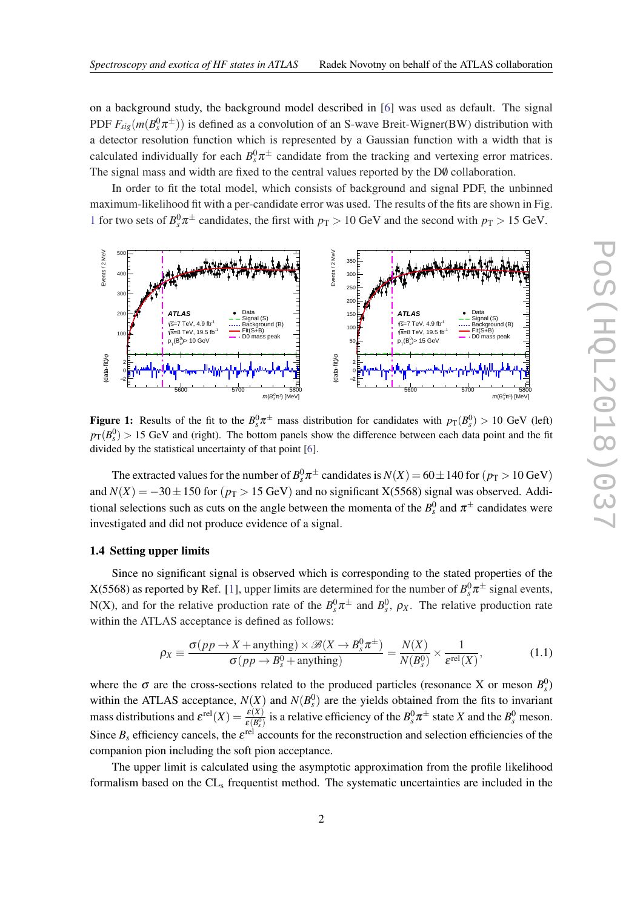on a background study, the background model described in [\[6](#page-6-0)] was used as default. The signal PDF  $F_{sig}(m(B_s^0 \pi^{\pm}))$  is defined as a convolution of an S-wave Breit-Wigner(BW) distribution with a detector resolution function which is represented by a Gaussian function with a width that is calculated individually for each  $B_s^0 \pi^{\pm}$  candidate from the tracking and vertexing error matrices. The signal mass and width are fixed to the central values reported by the D0 collaboration.

In order to fit the total model, which consists of background and signal PDF, the unbinned maximum-likelihood fit with a per-candidate error was used. The results of the fits are shown in Fig. 1 for two sets of  $B_s^0 \pi^{\pm}$  candidates, the first with  $p_T > 10$  GeV and the second with  $p_T > 15$  GeV.



Figure 1: Results of the fit to the  $B_s^0 \pi^{\pm}$  mass distribution for candidates with  $p_T(B_s^0) > 10$  GeV (left)  $p_T(B_s^0) > 15$  GeV and (right). The bottom panels show the difference between each data point and the fit divided by the statistical uncertainty of that point [[6\]](#page-6-0).

The extracted values for the number of  $B_s^0 \pi^{\pm}$  candidates is  $N(X)$  = 60 $\pm$  140 for ( $p_T$  > 10 GeV) and  $N(X) = -30 \pm 150$  for ( $p_T > 15$  GeV) and no significant X(5568) signal was observed. Additional selections such as cuts on the angle between the momenta of the  $B_s^0$  and  $\pi^\pm$  candidates were investigated and did not produce evidence of a signal.

### 1.4 Setting upper limits

Since no significant signal is observed which is corresponding to the stated properties of the X(5568) as reported by Ref. [[1](#page-6-0)], upper limits are determined for the number of  $B^0_s\pi^\pm$  signal events, N(X), and for the relative production rate of the  $B_s^0 \pi^{\pm}$  and  $B_s^0$ ,  $\rho_X$ . The relative production rate within the ATLAS acceptance is defined as follows:

$$
\rho_X \equiv \frac{\sigma(pp \to X + \text{anything}) \times \mathcal{B}(X \to B_g^0 \pi^{\pm})}{\sigma(pp \to B_g^0 + \text{anything})} = \frac{N(X)}{N(B_g^0)} \times \frac{1}{\varepsilon^{\text{rel}}(X)},
$$
(1.1)

where the  $\sigma$  are the cross-sections related to the produced particles (resonance X or meson  $B_s^0$ ) within the ATLAS acceptance,  $N(X)$  and  $N(B_s^0)$  are the yields obtained from the fits to invariant mass distributions and  $\mathcal{E}^{\text{rel}}(X) = \frac{\mathcal{E}(X)}{\mathcal{E}(B_s^0)}$  is a relative efficiency of the  $B_s^0 \pi^{\pm}$  state X and the  $B_s^0$  meson. Since  $B_s$  efficiency cancels, the  $\varepsilon^{\text{rel}}$  accounts for the reconstruction and selection efficiencies of the companion pion including the soft pion acceptance.

The upper limit is calculated using the asymptotic approximation from the profile likelihood formalism based on the CL<sub>s</sub> frequentist method. The systematic uncertainties are included in the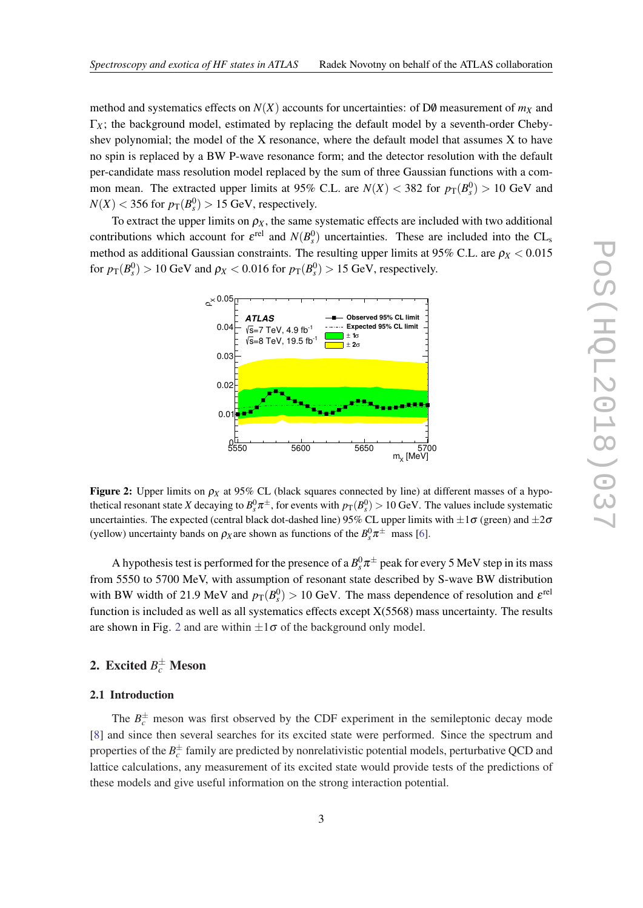method and systematics effects on  $N(X)$  accounts for uncertainties: of D0 measurement of  $m_X$  and  $\Gamma_X$ ; the background model, estimated by replacing the default model by a seventh-order Chebyshev polynomial; the model of the X resonance, where the default model that assumes  $X$  to have no spin is replaced by a BW P-wave resonance form; and the detector resolution with the default per-candidate mass resolution model replaced by the sum of three Gaussian functions with a common mean. The extracted upper limits at 95% C.L. are  $N(X) < 382$  for  $p_T(B_s^0) > 10$  GeV and  $N(X)$  < 356 for  $p_T(B_s^0)$  > 15 GeV, respectively.

To extract the upper limits on  $\rho_X$ , the same systematic effects are included with two additional contributions which account for  $\varepsilon^{\text{rel}}$  and  $N(B_s^0)$  uncertainties. These are included into the CL<sub>s</sub> method as additional Gaussian constraints. The resulting upper limits at 95% C.L. are  $\rho_X < 0.015$ for  $p_T(B_s^0) > 10$  GeV and  $\rho_X < 0.016$  for  $p_T(B_s^0) > 15$  GeV, respectively.



Figure 2: Upper limits on  $\rho_X$  at 95% CL (black squares connected by line) at different masses of a hypothetical resonant state *X* decaying to  $B_s^0 \pi^{\pm}$ , for events with  $p_T(B_s^0) > 10$  GeV. The values include systematic uncertainties. The expected (central black dot-dashed line) 95% CL upper limits with  $\pm 1\sigma$  (green) and  $\pm 2\sigma$ (yellow) uncertainty bands on  $\rho_X$  are shown as functions of the  $B_s^0 \pi^{\pm}$  mass [\[6](#page-6-0)].

A hypothesis test is performed for the presence of a  $B_s^0\pi^\pm$  peak for every 5 MeV step in its mass from 5550 to 5700 MeV, with assumption of resonant state described by S-wave BW distribution with BW width of 21.9 MeV and  $p_T(B_s^0) > 10$  GeV. The mass dependence of resolution and  $\varepsilon^{\text{rel}}$ function is included as well as all systematics effects except X(5568) mass uncertainty. The results are shown in Fig. 2 and are within  $\pm 1\sigma$  of the background only model.

## 2. Excited  $B_c^{\pm}$  Meson

### 2.1 Introduction

The  $B_c^{\pm}$  meson was first observed by the CDF experiment in the semileptonic decay mode [[8](#page-6-0)] and since then several searches for its excited state were performed. Since the spectrum and properties of the  $B_c^{\pm}$  family are predicted by nonrelativistic potential models, perturbative QCD and lattice calculations, any measurement of its excited state would provide tests of the predictions of these models and give useful information on the strong interaction potential.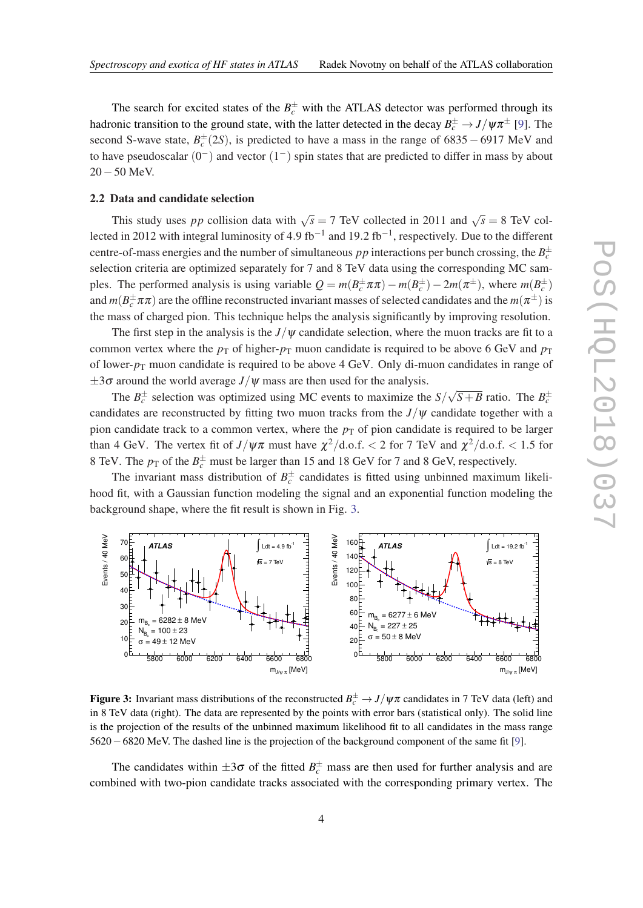The search for excited states of the  $B_c^{\pm}$  with the ATLAS detector was performed through its hadronic transition to the ground state, with the latter detected in the decay  $B_c^{\pm} \to J/\psi \pi^{\pm}$  [[9](#page-6-0)]. The second S-wave state,  $B_c^{\pm}(2S)$ , is predicted to have a mass in the range of 6835 – 6917 MeV and to have pseudoscalar  $(0^-)$  and vector  $(1^-)$  spin states that are predicted to differ in mass by about 20−50 MeV.

#### 2.2 Data and candidate selection

This study uses *pp* collision data with  $\sqrt{s} = 7$  TeV collected in 2011 and  $\sqrt{s} = 8$  TeV collected in 2012 with integral luminosity of 4.9 fb<sup>-1</sup> and 19.2 fb<sup>-1</sup>, respectively. Due to the different centre-of-mass energies and the number of simultaneous  $pp$  interactions per bunch crossing, the  $B_c^{\pm}$ selection criteria are optimized separately for 7 and 8 TeV data using the corresponding MC samples. The performed analysis is using variable  $Q = m(B_c^{\pm} \pi \pi) - m(B_c^{\pm}) - 2m(\pi^{\pm})$ , where  $m(B_c^{\pm})$ and  $m(B_c^{\pm}\pi\pi)$  are the offline reconstructed invariant masses of selected candidates and the  $m(\pi^{\pm})$  is the mass of charged pion. This technique helps the analysis significantly by improving resolution.

The first step in the analysis is the  $J/\psi$  candidate selection, where the muon tracks are fit to a common vertex where the  $p<sub>T</sub>$  of higher- $p<sub>T</sub>$  muon candidate is required to be above 6 GeV and  $p<sub>T</sub>$ of lower- $p_T$  muon candidate is required to be above 4 GeV. Only di-muon candidates in range of  $\pm 3\sigma$  around the world average  $J/\psi$  mass are then used for the analysis. √

The  $B_c^{\pm}$  selection was optimized using MC events to maximize the *S*/  $\sqrt{S+B}$  ratio. The  $B_c^{\pm}$ candidates are reconstructed by fitting two muon tracks from the  $J/\psi$  candidate together with a pion candidate track to a common vertex, where the  $p<sub>T</sub>$  of pion candidate is required to be larger than 4 GeV. The vertex fit of  $J/\psi\pi$  must have  $\chi^2/\text{d.o.f.} < 2$  for 7 TeV and  $\chi^2/\text{d.o.f.} < 1.5$  for 8 TeV. The  $p_{\text{T}}$  of the  $B_c^{\pm}$  must be larger than 15 and 18 GeV for 7 and 8 GeV, respectively.

The invariant mass distribution of  $B_c^{\pm}$  candidates is fitted using unbinned maximum likelihood fit, with a Gaussian function modeling the signal and an exponential function modeling the background shape, where the fit result is shown in Fig. 3.



Figure 3: Invariant mass distributions of the reconstructed  $B_c^{\pm} \to J/\psi \pi$  candidates in 7 TeV data (left) and in 8 TeV data (right). The data are represented by the points with error bars (statistical only). The solid line is the projection of the results of the unbinned maximum likelihood fit to all candidates in the mass range 5620−6820 MeV. The dashed line is the projection of the background component of the same fit [[9\]](#page-6-0).

The candidates within  $\pm 3\sigma$  of the fitted  $B_c^{\pm}$  mass are then used for further analysis and are combined with two-pion candidate tracks associated with the corresponding primary vertex. The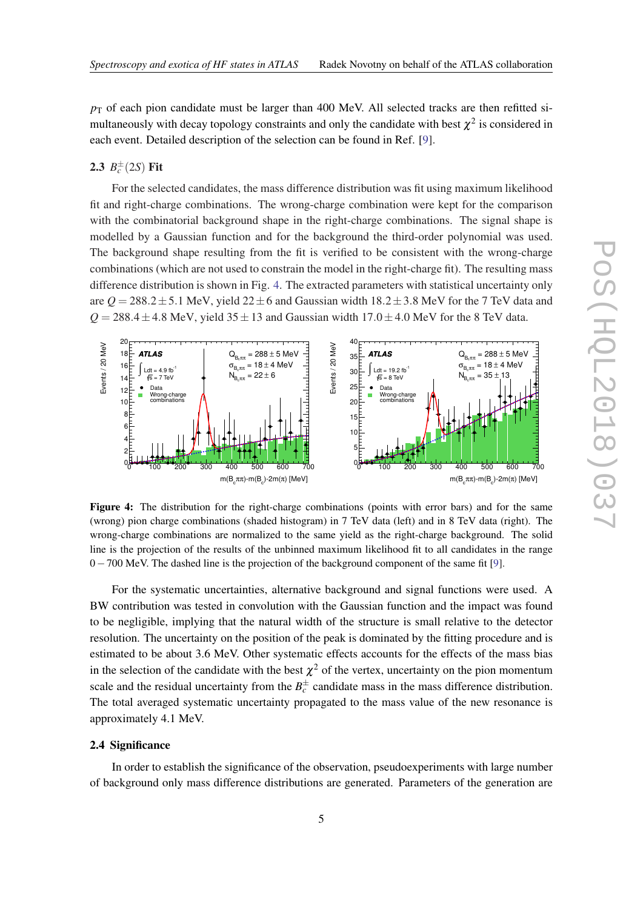$p<sub>T</sub>$  of each pion candidate must be larger than 400 MeV. All selected tracks are then refitted simultaneously with decay topology constraints and only the candidate with best  $\chi^2$  is considered in each event. Detailed description of the selection can be found in Ref. [\[9\]](#page-6-0).

### **2.3**  $B_c^{\pm}(2S)$  Fit

For the selected candidates, the mass difference distribution was fit using maximum likelihood fit and right-charge combinations. The wrong-charge combination were kept for the comparison with the combinatorial background shape in the right-charge combinations. The signal shape is modelled by a Gaussian function and for the background the third-order polynomial was used. The background shape resulting from the fit is verified to be consistent with the wrong-charge combinations (which are not used to constrain the model in the right-charge fit). The resulting mass difference distribution is shown in Fig. 4. The extracted parameters with statistical uncertainty only are  $Q = 288.2 \pm 5.1$  MeV, yield  $22 \pm 6$  and Gaussian width  $18.2 \pm 3.8$  MeV for the 7 TeV data and  $Q = 288.4 \pm 4.8$  MeV, yield  $35 \pm 13$  and Gaussian width  $17.0 \pm 4.0$  MeV for the 8 TeV data.



Figure 4: The distribution for the right-charge combinations (points with error bars) and for the same (wrong) pion charge combinations (shaded histogram) in 7 TeV data (left) and in 8 TeV data (right). The wrong-charge combinations are normalized to the same yield as the right-charge background. The solid line is the projection of the results of the unbinned maximum likelihood fit to all candidates in the range 0−700 MeV. The dashed line is the projection of the background component of the same fit [[9\]](#page-6-0).

For the systematic uncertainties, alternative background and signal functions were used. A BW contribution was tested in convolution with the Gaussian function and the impact was found to be negligible, implying that the natural width of the structure is small relative to the detector resolution. The uncertainty on the position of the peak is dominated by the fitting procedure and is estimated to be about 3.6 MeV. Other systematic effects accounts for the effects of the mass bias in the selection of the candidate with the best  $\chi^2$  of the vertex, uncertainty on the pion momentum scale and the residual uncertainty from the  $B_c^{\pm}$  candidate mass in the mass difference distribution. The total averaged systematic uncertainty propagated to the mass value of the new resonance is approximately 4.1 MeV.

### 2.4 Significance

In order to establish the significance of the observation, pseudoexperiments with large number of background only mass difference distributions are generated. Parameters of the generation are